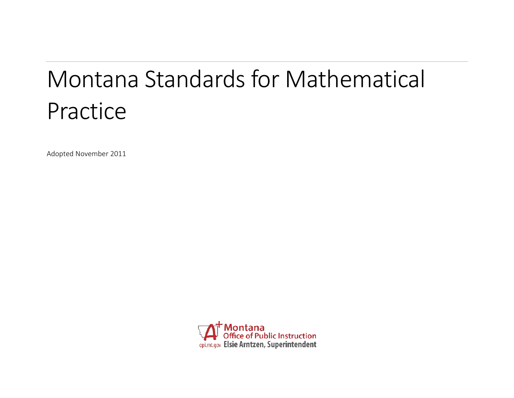# Montana Standards for Mathematical Practice

Adopted November 2011

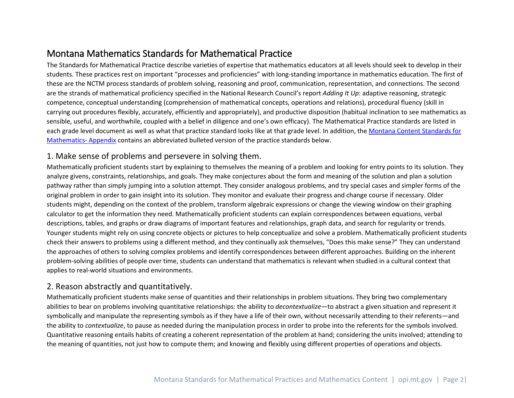## Montana Mathematics Standards for Mathematical Practice

The Standards for Mathematical Practice describe varieties of expertise that mathematics educators at all levels should seek to develop in their students. These practices rest on important "processes and proficiencies" with long-standing importance in mathematics education. The first of these are the NCTM process standards of problem solving, reasoning and proof, communication, representation, and connections. The second are the strands of mathematical proficiency specified in the National Research Council's report *Adding It Up*: adaptive reasoning, strategic competence, conceptual understanding (comprehension of mathematical concepts, operations and relations), procedural fluency (skill in carrying out procedures flexibly, accurately, efficiently and appropriately), and productive disposition (habitual inclination to see mathematics as sensible, useful, and worthwhile, coupled with a belief in diligence and one's own efficacy). The Mathematical Practice standards are listed in each grade level document as well as what that practice standard looks like at that grade level. In addition, the [Montana Content Standards for](http://montanateach.org/resources/montana-content-standards-for-mathematics-appendix/)  [Mathematics- Appendix](http://montanateach.org/resources/montana-content-standards-for-mathematics-appendix/) contains an abbreviated bulleted version of the practice standards below.

#### 1. Make sense of problems and persevere in solving them.

Mathematically proficient students start by explaining to themselves the meaning of a problem and looking for entry points to its solution. They analyze givens, constraints, relationships, and goals. They make conjectures about the form and meaning of the solution and plan a solution pathway rather than simply jumping into a solution attempt. They consider analogous problems, and try special cases and simpler forms of the original problem in order to gain insight into its solution. They monitor and evaluate their progress and change course if necessary. Older students might, depending on the context of the problem, transform algebraic expressions or change the viewing window on their graphing calculator to get the information they need. Mathematically proficient students can explain correspondences between equations, verbal descriptions, tables, and graphs or draw diagrams of important features and relationships, graph data, and search for regularity or trends. Younger students might rely on using concrete objects or pictures to help conceptualize and solve a problem. Mathematically proficient students check their answers to problems using a different method, and they continually ask themselves, "Does this make sense?" They can understand the approaches of others to solving complex problems and identify correspondences between different approaches. Building on the inherent problem-solving abilities of people over time, students can understand that mathematics is relevant when studied in a cultural context that applies to real-world situations and environments.

#### 2. Reason abstractly and quantitatively.

Mathematically proficient students make sense of quantities and their relationships in problem situations. They bring two complementary abilities to bear on problems involving quantitative relationships: the ability to *decontextualize*—to abstract a given situation and represent it symbolically and manipulate the representing symbols as if they have a life of their own, without necessarily attending to their referents—and the ability to *contextualize*, to pause as needed during the manipulation process in order to probe into the referents for the symbols involved. Quantitative reasoning entails habits of creating a coherent representation of the problem at hand; considering the units involved; attending to the meaning of quantities, not just how to compute them; and knowing and flexibly using different properties of operations and objects.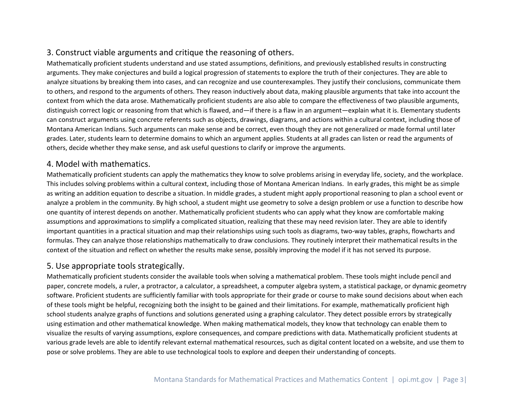## 3. Construct viable arguments and critique the reasoning of others.

Mathematically proficient students understand and use stated assumptions, definitions, and previously established results in constructing arguments. They make conjectures and build a logical progression of statements to explore the truth of their conjectures. They are able to analyze situations by breaking them into cases, and can recognize and use counterexamples. They justify their conclusions, communicate them to others, and respond to the arguments of others. They reason inductively about data, making plausible arguments that take into account the context from which the data arose. Mathematically proficient students are also able to compare the effectiveness of two plausible arguments, distinguish correct logic or reasoning from that which is flawed, and—if there is a flaw in an argument—explain what it is. Elementary students can construct arguments using concrete referents such as objects, drawings, diagrams, and actions within a cultural context, including those of Montana American Indians. Such arguments can make sense and be correct, even though they are not generalized or made formal until later grades. Later, students learn to determine domains to which an argument applies. Students at all grades can listen or read the arguments of others, decide whether they make sense, and ask useful questions to clarify or improve the arguments.

#### 4. Model with mathematics.

Mathematically proficient students can apply the mathematics they know to solve problems arising in everyday life, society, and the workplace. This includes solving problems within a cultural context, including those of Montana American Indians. In early grades, this might be as simple as writing an addition equation to describe a situation. In middle grades, a student might apply proportional reasoning to plan a school event or analyze a problem in the community. By high school, a student might use geometry to solve a design problem or use a function to describe how one quantity of interest depends on another. Mathematically proficient students who can apply what they know are comfortable making assumptions and approximations to simplify a complicated situation, realizing that these may need revision later. They are able to identify important quantities in a practical situation and map their relationships using such tools as diagrams, two-way tables, graphs, flowcharts and formulas. They can analyze those relationships mathematically to draw conclusions. They routinely interpret their mathematical results in the context of the situation and reflect on whether the results make sense, possibly improving the model if it has not served its purpose.

#### 5. Use appropriate tools strategically.

Mathematically proficient students consider the available tools when solving a mathematical problem. These tools might include pencil and paper, concrete models, a ruler, a protractor, a calculator, a spreadsheet, a computer algebra system, a statistical package, or dynamic geometry software. Proficient students are sufficiently familiar with tools appropriate for their grade or course to make sound decisions about when each of these tools might be helpful, recognizing both the insight to be gained and their limitations. For example, mathematically proficient high school students analyze graphs of functions and solutions generated using a graphing calculator. They detect possible errors by strategically using estimation and other mathematical knowledge. When making mathematical models, they know that technology can enable them to visualize the results of varying assumptions, explore consequences, and compare predictions with data. Mathematically proficient students at various grade levels are able to identify relevant external mathematical resources, such as digital content located on a website, and use them to pose or solve problems. They are able to use technological tools to explore and deepen their understanding of concepts.